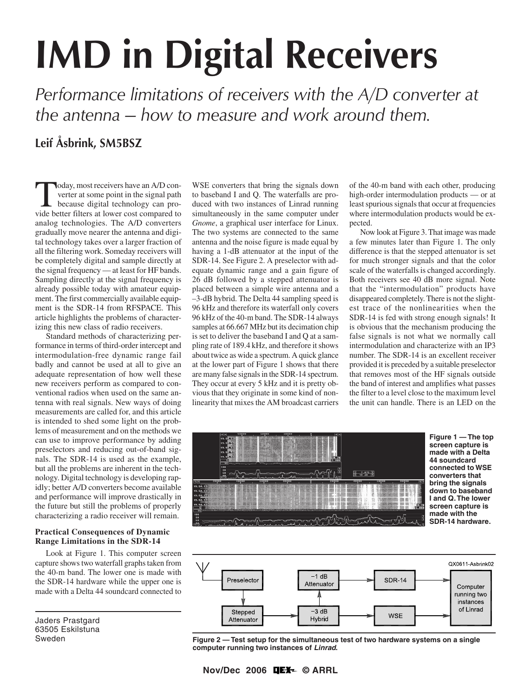# **IMD in Digital Receivers**

*Performance limitations of receivers with the A/D converter at the antenna — how to measure and work around them.*

# **Leif Åsbrink, SM5BSZ**

Today, most receivers have an A/D converter at some point in the signal path<br>because digital technology can pro-<br>vide better filters at lower cost compared to verter at some point in the signal path vide better filters at lower cost compared to analog technologies. The A/D converters gradually move nearer the antenna and digital technology takes over a larger fraction of all the filtering work. Someday receivers will be completely digital and sample directly at the signal frequency — at least for HF bands. Sampling directly at the signal frequency is already possible today with amateur equipment. The first commercially available equipment is the SDR-14 from RFSPACE. This article highlights the problems of characterizing this new class of radio receivers.

Standard methods of characterizing performance in terms of third-order intercept and intermodulation-free dynamic range fail badly and cannot be used at all to give an adequate representation of how well these new receivers perform as compared to conventional radios when used on the same antenna with real signals. New ways of doing measurements are called for, and this article is intended to shed some light on the problems of measurement and on the methods we can use to improve performance by adding preselectors and reducing out-of-band signals. The SDR-14 is used as the example, but all the problems are inherent in the technology. Digital technology is developing rapidly; better A/D converters become available and performance will improve drastically in the future but still the problems of properly characterizing a radio receiver will remain.

#### **Practical Consequences of Dynamic Range Limitations in the SDR-14**

Look at Figure 1. This computer screen capture shows two waterfall graphs taken from the 40-m band. The lower one is made with the SDR-14 hardware while the upper one is made with a Delta 44 soundcard connected to

Jaders Prastgard 63505 Eskilstuna Sweden

WSE converters that bring the signals down to baseband I and Q. The waterfalls are produced with two instances of Linrad running simultaneously in the same computer under *Gnome*, a graphical user interface for Linux. The two systems are connected to the same antenna and the noise figure is made equal by having a 1-dB attenuator at the input of the SDR-14. See Figure 2. A preselector with adequate dynamic range and a gain figure of 26 dB followed by a stepped attenuator is placed between a simple wire antenna and a –3-dB hybrid. The Delta 44 sampling speed is 96 kHz and therefore its waterfall only covers 96 kHz of the 40-m band. The SDR-14 always samples at 66.667 MHz but its decimation chip is set to deliver the baseband I and Q at a sampling rate of 189.4 kHz, and therefore it shows about twice as wide a spectrum. A quick glance at the lower part of Figure 1 shows that there are many false signals in the SDR-14 spectrum. They occur at every 5 kHz and it is pretty obvious that they originate in some kind of nonlinearity that mixes the AM broadcast carriers of the 40-m band with each other, producing high-order intermodulation products — or at least spurious signals that occur at frequencies where intermodulation products would be expected.

Now look at Figure 3. That image was made a few minutes later than Figure 1. The only difference is that the stepped attenuator is set for much stronger signals and that the color scale of the waterfalls is changed accordingly. Both receivers see 40 dB more signal. Note that the "intermodulation" products have disappeared completely. There is not the slightest trace of the nonlinearities when the SDR-14 is fed with strong enough signals! It is obvious that the mechanism producing the false signals is not what we normally call intermodulation and characterize with an IP3 number. The SDR-14 is an excellent receiver provided it is preceded by a suitable preselector that removes most of the HF signals outside the band of interest and amplifies what passes the filter to a level close to the maximum level the unit can handle. There is an LED on the





**Figure 2 — Test setup for the simultaneous test of two hardware systems on a single computer running two instances of Linrad.**

**Nov/Dec 2006 © ARRL**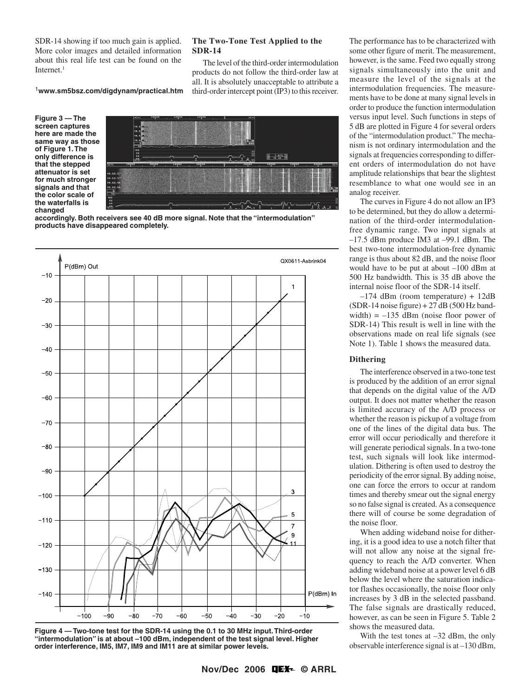SDR-14 showing if too much gain is applied. More color images and detailed information about this real life test can be found on the Internet. $<sup>1</sup>$ </sup>

#### <sup>1</sup>**www.sm5bsz.com/digdynam/practical.htm**

**Figure 3 — The screen captures here are made the same way as those of Figure 1. The only difference is that the stepped attenuator is set for much stronger signals and that the color scale of the waterfalls is changed**



**SDR-14**

**The Two-Tone Test Applied to the**

The level of the third-order intermodulation products do not follow the third-order law at all. It is absolutely unacceptable to attribute a third-order intercept point (IP3) to this receiver.

**accordingly. Both receivers see 40 dB more signal. Note that the "intermodulation" products have disappeared completely.**





The performance has to be characterized with some other figure of merit. The measurement, however, is the same. Feed two equally strong signals simultaneously into the unit and measure the level of the signals at the intermodulation frequencies. The measurements have to be done at many signal levels in order to produce the function intermodulation versus input level. Such functions in steps of 5 dB are plotted in Figure 4 for several orders of the "intermodulation product." The mechanism is not ordinary intermodulation and the signals at frequencies corresponding to different orders of intermodulation do not have amplitude relationships that bear the slightest resemblance to what one would see in an analog receiver.

The curves in Figure 4 do not allow an IP3 to be determined, but they do allow a determination of the third-order intermodulationfree dynamic range. Two input signals at –17.5 dBm produce IM3 at –99.1 dBm. The best two-tone intermodulation-free dynamic range is thus about 82 dB, and the noise floor would have to be put at about –100 dBm at 500 Hz bandwidth. This is 35 dB above the internal noise floor of the SDR-14 itself.

–174 dBm (room temperature) + 12dB  $(SDR-14 noise figure) + 27 dB (500 Hz band$ width)  $= -135$  dBm (noise floor power of SDR-14) This result is well in line with the observations made on real life signals (see Note 1). Table 1 shows the measured data.

#### **Dithering**

The interference observed in a two-tone test is produced by the addition of an error signal that depends on the digital value of the A/D output. It does not matter whether the reason is limited accuracy of the A/D process or whether the reason is pickup of a voltage from one of the lines of the digital data bus. The error will occur periodically and therefore it will generate periodical signals. In a two-tone test, such signals will look like intermodulation. Dithering is often used to destroy the periodicity of the error signal. By adding noise, one can force the errors to occur at random times and thereby smear out the signal energy so no false signal is created. As a consequence there will of course be some degradation of the noise floor.

When adding wideband noise for dithering, it is a good idea to use a notch filter that will not allow any noise at the signal frequency to reach the A/D converter. When adding wideband noise at a power level 6 dB below the level where the saturation indicator flashes occasionally, the noise floor only increases by 3 dB in the selected passband. The false signals are drastically reduced, however, as can be seen in Figure 5. Table 2 shows the measured data.

With the test tones at  $-32$  dBm, the only observable interference signal is at –130 dBm,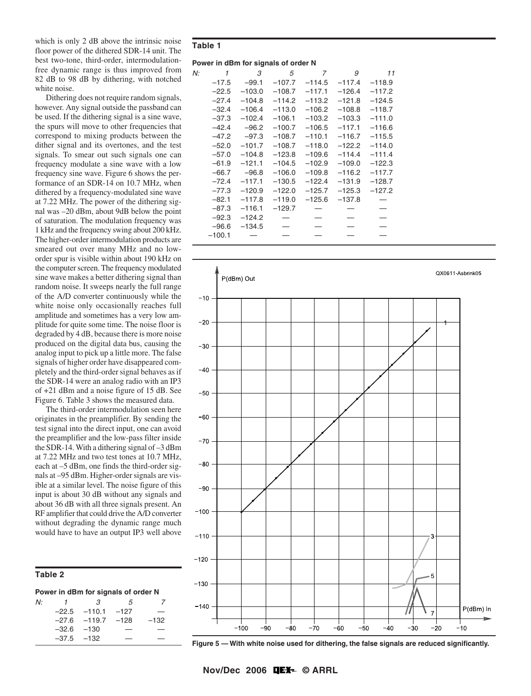which is only 2 dB above the intrinsic noise floor power of the dithered SDR-14 unit. The best two-tone, third-order, intermodulationfree dynamic range is thus improved from 82 dB to 98 dB by dithering, with notched white noise.

Dithering does not require random signals, however. Any signal outside the passband can be used. If the dithering signal is a sine wave, the spurs will move to other frequencies that correspond to mixing products between the dither signal and its overtones, and the test signals. To smear out such signals one can frequency modulate a sine wave with a low frequency sine wave. Figure 6 shows the performance of an SDR-14 on 10.7 MHz, when dithered by a frequency-modulated sine wave at 7.22 MHz. The power of the dithering signal was –20 dBm, about 9dB below the point of saturation. The modulation frequency was 1 kHz and the frequency swing about 200 kHz. The higher-order intermodulation products are smeared out over many MHz and no loworder spur is visible within about 190 kHz on the computer screen. The frequency modulated sine wave makes a better dithering signal than random noise. It sweeps nearly the full range of the A/D converter continuously while the white noise only occasionally reaches full amplitude and sometimes has a very low amplitude for quite some time. The noise floor is degraded by 4 dB, because there is more noise produced on the digital data bus, causing the analog input to pick up a little more. The false signals of higher order have disappeared completely and the third-order signal behaves as if the SDR-14 were an analog radio with an IP3 of +21 dBm and a noise figure of 15 dB. See Figure 6. Table 3 shows the measured data.

The third-order intermodulation seen here originates in the preamplifier. By sending the test signal into the direct input, one can avoid the preamplifier and the low-pass filter inside the SDR-14. With a dithering signal of –3 dBm at 7.22 MHz and two test tones at 10.7 MHz, each at –5 dBm, one finds the third-order signals at –95 dBm. Higher-order signals are visible at a similar level. The noise figure of this input is about 30 dB without any signals and about 36 dB with all three signals present. An RF amplifier that could drive the A/D converter without degrading the dynamic range much would have to have an output IP3 well above

# **Table 2**

| Power in dBm for signals of order N |                |                  |            |        |  |  |  |
|-------------------------------------|----------------|------------------|------------|--------|--|--|--|
| N۰                                  | 1              | З                | $\sqrt{2}$ |        |  |  |  |
|                                     |                | $-22.5 -110.1$   | $-127$     |        |  |  |  |
|                                     |                | $-27.6$ $-119.7$ | $-128$     | $-132$ |  |  |  |
|                                     | $-32.6$ $-130$ |                  | _          |        |  |  |  |
|                                     | $-37.5 -132$   |                  |            |        |  |  |  |

### **Table 1**

## **Power in dBm for signals of order N**

| N: | 1        | 3        | 5        | 7        | 9        | 11       |  |
|----|----------|----------|----------|----------|----------|----------|--|
|    | $-17.5$  | $-99.1$  | $-107.7$ | $-114.5$ | $-117.4$ | $-118.9$ |  |
|    | $-22.5$  | $-103.0$ | $-108.7$ | $-117.1$ | $-126.4$ | $-117.2$ |  |
|    | $-27.4$  | $-104.8$ | $-114.2$ | $-113.2$ | $-121.8$ | $-124.5$ |  |
|    | $-32.4$  | $-106.4$ | $-113.0$ | $-106.2$ | $-108.8$ | $-118.7$ |  |
|    | $-37.3$  | $-102.4$ | $-106.1$ | $-103.2$ | $-103.3$ | $-111.0$ |  |
|    | $-42.4$  | $-96.2$  | $-100.7$ | $-106.5$ | $-117.1$ | $-116.6$ |  |
|    | $-47.2$  | $-97.3$  | $-108.7$ | $-110.1$ | $-116.7$ | $-115.5$ |  |
|    | $-52.0$  | $-101.7$ | $-108.7$ | $-118.0$ | $-122.2$ | $-114.0$ |  |
|    | $-57.0$  | $-104.8$ | $-123.8$ | $-109.6$ | $-114.4$ | $-111.4$ |  |
|    | $-61.9$  | $-121.1$ | $-104.5$ | $-102.9$ | $-109.0$ | $-122.3$ |  |
|    | $-66.7$  | $-96.8$  | $-106.0$ | $-109.8$ | $-116.2$ | $-117.7$ |  |
|    | $-72.4$  | $-117.1$ | $-130.5$ | $-122.4$ | $-131.9$ | $-128.7$ |  |
|    | $-77.3$  | $-120.9$ | $-122.0$ | $-125.7$ | $-125.3$ | $-127.2$ |  |
|    | $-82.1$  | $-117.8$ | $-119.0$ | $-125.6$ | $-137.8$ |          |  |
|    | $-87.3$  | $-116.1$ | $-129.7$ |          |          |          |  |
|    | $-92.3$  | $-124.2$ |          |          |          |          |  |
|    | $-96.6$  | $-134.5$ |          |          |          |          |  |
|    | $-100.1$ |          |          |          |          |          |  |
|    |          |          |          |          |          |          |  |



**Figure 5 — With white noise used for dithering, the false signals are reduced significantly.**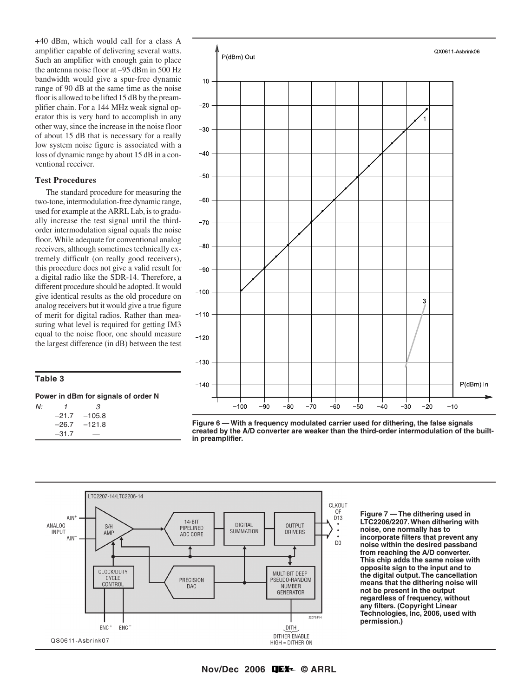+40 dBm, which would call for a class A amplifier capable of delivering several watts. Such an amplifier with enough gain to place the antenna noise floor at –95 dBm in 500 Hz bandwidth would give a spur-free dynamic range of 90 dB at the same time as the noise floor is allowed to be lifted 15 dB by the preamplifier chain. For a 144 MHz weak signal operator this is very hard to accomplish in any other way, since the increase in the noise floor of about 15 dB that is necessary for a really low system noise figure is associated with a loss of dynamic range by about 15 dB in a conventional receiver.

#### **Test Procedures**

The standard procedure for measuring the two-tone, intermodulation-free dynamic range, used for example at the ARRL Lab, is to gradually increase the test signal until the thirdorder intermodulation signal equals the noise floor. While adequate for conventional analog receivers, although sometimes technically extremely difficult (on really good receivers), this procedure does not give a valid result for a digital radio like the SDR-14. Therefore, a different procedure should be adopted. It would give identical results as the old procedure on analog receivers but it would give a true figure of merit for digital radios. Rather than measuring what level is required for getting IM3 equal to the noise floor, one should measure the largest difference (in dB) between the test

# **Table 3**

| Power in dBm for signals of order N |              |                  |  |  |  |  |
|-------------------------------------|--------------|------------------|--|--|--|--|
| N:                                  | $\mathbf{1}$ | З                |  |  |  |  |
|                                     |              | $-21.7 -105.8$   |  |  |  |  |
|                                     |              | $-26.7$ $-121.8$ |  |  |  |  |
|                                     | $-31.7$      |                  |  |  |  |  |



**Figure 6 — With a frequency modulated carrier used for dithering, the false signals created by the A/D converter are weaker than the third-order intermodulation of the builtin preamplifier.**



**Figure 7 — The dithering used in LTC2206/2207. When dithering with noise, one normally has to incorporate filters that prevent any noise within the desired passband from reaching the A/D converter. This chip adds the same noise with opposite sign to the input and to the digital output. The cancellation means that the dithering noise will not be present in the output regardless of frequency, without any filters. (Copyright Linear Technologies, Inc, 2006, used with permission.)**

**Nov/Dec 2006 © ARRL**